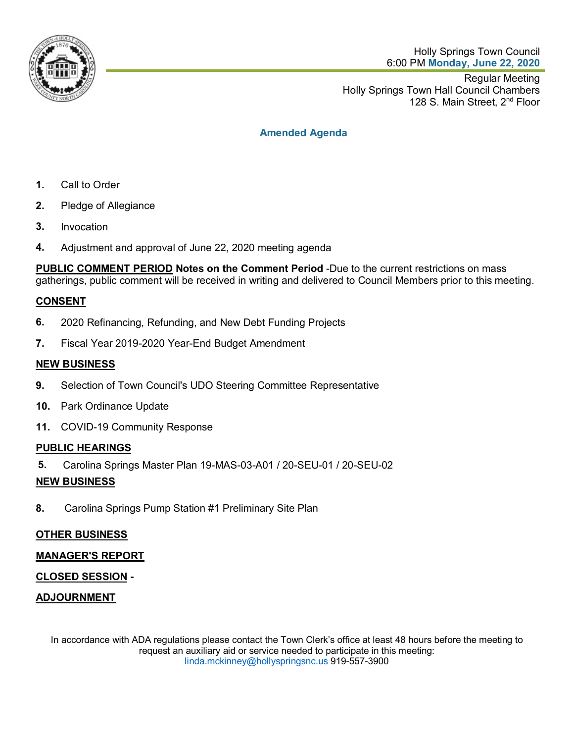

Holly Springs Town Council 6:00 PM **Monday, June 22, 2020**

Regular Meeting Holly Springs Town Hall Council Chambers 128 S. Main Street, 2<sup>nd</sup> Floor

## **Amended Agenda**

- **1.** Call to Order
- **2.** Pledge of Allegiance
- **3.** Invocation
- **4.** Adjustment and approval of June 22, 2020 meeting agenda

**PUBLIC COMMENT PERIOD Notes on the Comment Period** -Due to the current restrictions on mass gatherings, public comment will be received in writing and delivered to Council Members prior to this meeting.

## **CONSENT**

- **6.** 2020 Refinancing, Refunding, and New Debt Funding Projects
- **7.** Fiscal Year 2019-2020 Year-End Budget Amendment

#### **NEW BUSINESS**

- **9.** Selection of Town Council's UDO Steering Committee Representative
- **10.** Park Ordinance Update
- **11.** COVID-19 Community Response

#### **PUBLIC HEARINGS**

**5.** Carolina Springs Master Plan 19-MAS-03-A01 / 20-SEU-01 / 20-SEU-02

#### **NEW BUSINESS**

**8.** Carolina Springs Pump Station #1 Preliminary Site Plan

## **OTHER BUSINESS**

## **MANAGER'S REPORT**

## **CLOSED SESSION -**

## **ADJOURNMENT**

In accordance with ADA regulations please contact the Town Clerk's office at least 48 hours before the meeting to request an auxiliary aid or service needed to participate in this meeting: [linda.mckinney@hollyspringsnc.us](mailto:linda.mckinney@hollyspringsnc.us) 919-557-3900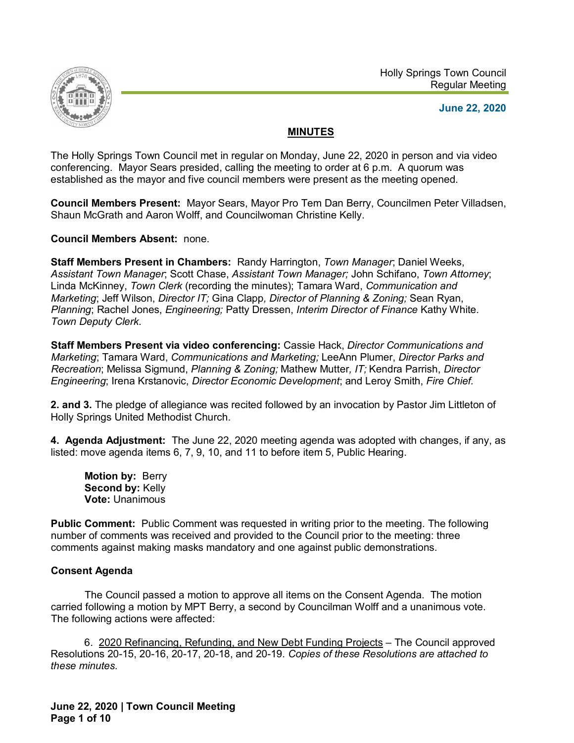



**June 22, 2020**

### **MINUTES**

The Holly Springs Town Council met in regular on Monday, June 22, 2020 in person and via video conferencing. Mayor Sears presided, calling the meeting to order at 6 p.m. A quorum was established as the mayor and five council members were present as the meeting opened.

**Council Members Present:** Mayor Sears, Mayor Pro Tem Dan Berry, Councilmen Peter Villadsen, Shaun McGrath and Aaron Wolff, and Councilwoman Christine Kelly.

**Council Members Absent:** none.

**Staff Members Present in Chambers:** Randy Harrington, *Town Manager*; Daniel Weeks, *Assistant Town Manager*; Scott Chase, *Assistant Town Manager;* John Schifano, *Town Attorney*; Linda McKinney, *Town Clerk* (recording the minutes); Tamara Ward, *Communication and Marketing*; Jeff Wilson, *Director IT;* Gina Clapp*, Director of Planning & Zoning;* Sean Ryan, *Planning*; Rachel Jones, *Engineering;* Patty Dressen, *Interim Director of Finance* Kathy White. *Town Deputy Clerk*.

**Staff Members Present via video conferencing:** Cassie Hack, *Director Communications and Marketing*; Tamara Ward, *Communications and Marketing;* LeeAnn Plumer, *Director Parks and Recreation*; Melissa Sigmund, *Planning & Zoning;* Mathew Mutter*, IT;* Kendra Parrish, *Director Engineering*; Irena Krstanovic, *Director Economic Development*; and Leroy Smith, *Fire Chief.*

**2. and 3.** The pledge of allegiance was recited followed by an invocation by Pastor Jim Littleton of Holly Springs United Methodist Church.

**4. Agenda Adjustment:** The June 22, 2020 meeting agenda was adopted with changes, if any, as listed: move agenda items 6, 7, 9, 10, and 11 to before item 5, Public Hearing.

**Motion by:** Berry **Second by:** Kelly **Vote:** Unanimous

**Public Comment:** Public Comment was requested in writing prior to the meeting. The following number of comments was received and provided to the Council prior to the meeting: three comments against making masks mandatory and one against public demonstrations.

## **Consent Agenda**

The Council passed a motion to approve all items on the Consent Agenda. The motion carried following a motion by MPT Berry, a second by Councilman Wolff and a unanimous vote. The following actions were affected:

6. 2020 Refinancing, Refunding, and New Debt Funding Projects – The Council approved Resolutions 20-15, 20-16, 20-17, 20-18, and 20-19. *Copies of these Resolutions are attached to these minutes.*

**June 22, 2020 | Town Council Meeting Page 1 of 10**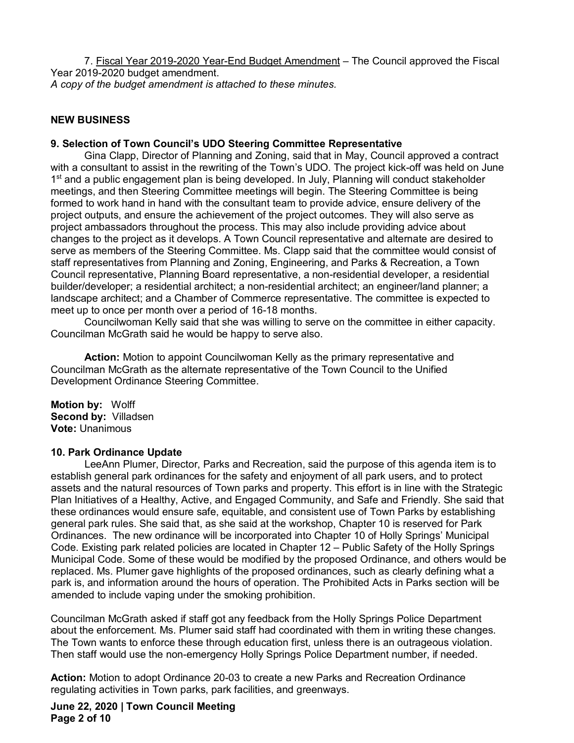7. Fiscal Year 2019-2020 Year-End Budget Amendment – The Council approved the Fiscal Year 2019-2020 budget amendment. *A copy of the budget amendment is attached to these minutes.*

### **NEW BUSINESS**

#### **9. Selection of Town Council's UDO Steering Committee Representative**

Gina Clapp, Director of Planning and Zoning, said that in May, Council approved a contract with a consultant to assist in the rewriting of the Town's UDO. The project kick-off was held on June 1<sup>st</sup> and a public engagement plan is being developed. In July, Planning will conduct stakeholder meetings, and then Steering Committee meetings will begin. The Steering Committee is being formed to work hand in hand with the consultant team to provide advice, ensure delivery of the project outputs, and ensure the achievement of the project outcomes. They will also serve as project ambassadors throughout the process. This may also include providing advice about changes to the project as it develops. A Town Council representative and alternate are desired to serve as members of the Steering Committee. Ms. Clapp said that the committee would consist of staff representatives from Planning and Zoning, Engineering, and Parks & Recreation, a Town Council representative, Planning Board representative, a non-residential developer, a residential builder/developer; a residential architect; a non-residential architect; an engineer/land planner; a landscape architect; and a Chamber of Commerce representative. The committee is expected to meet up to once per month over a period of 16-18 months.

Councilwoman Kelly said that she was willing to serve on the committee in either capacity. Councilman McGrath said he would be happy to serve also.

**Action:** Motion to appoint Councilwoman Kelly as the primary representative and Councilman McGrath as the alternate representative of the Town Council to the Unified Development Ordinance Steering Committee.

**Motion by:** Wolff **Second by:** Villadsen **Vote:** Unanimous

#### **10. Park Ordinance Update**

LeeAnn Plumer, Director, Parks and Recreation, said the purpose of this agenda item is to establish general park ordinances for the safety and enjoyment of all park users, and to protect assets and the natural resources of Town parks and property. This effort is in line with the Strategic Plan Initiatives of a Healthy, Active, and Engaged Community, and Safe and Friendly. She said that these ordinances would ensure safe, equitable, and consistent use of Town Parks by establishing general park rules. She said that, as she said at the workshop, Chapter 10 is reserved for Park Ordinances. The new ordinance will be incorporated into Chapter 10 of Holly Springs' Municipal Code. Existing park related policies are located in Chapter 12 – Public Safety of the Holly Springs Municipal Code. Some of these would be modified by the proposed Ordinance, and others would be replaced. Ms. Plumer gave highlights of the proposed ordinances, such as clearly defining what a park is, and information around the hours of operation. The Prohibited Acts in Parks section will be amended to include vaping under the smoking prohibition.

Councilman McGrath asked if staff got any feedback from the Holly Springs Police Department about the enforcement. Ms. Plumer said staff had coordinated with them in writing these changes. The Town wants to enforce these through education first, unless there is an outrageous violation. Then staff would use the non-emergency Holly Springs Police Department number, if needed.

**Action:** Motion to adopt Ordinance 20-03 to create a new Parks and Recreation Ordinance regulating activities in Town parks, park facilities, and greenways.

**June 22, 2020 | Town Council Meeting Page 2 of 10**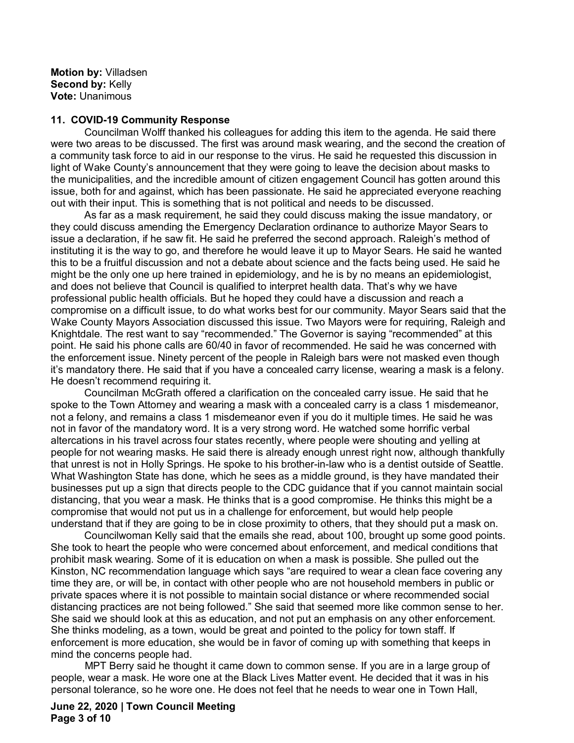**Motion by:** Villadsen **Second by:** Kelly **Vote:** Unanimous

#### **11. COVID-19 Community Response**

Councilman Wolff thanked his colleagues for adding this item to the agenda. He said there were two areas to be discussed. The first was around mask wearing, and the second the creation of a community task force to aid in our response to the virus. He said he requested this discussion in light of Wake County's announcement that they were going to leave the decision about masks to the municipalities, and the incredible amount of citizen engagement Council has gotten around this issue, both for and against, which has been passionate. He said he appreciated everyone reaching out with their input. This is something that is not political and needs to be discussed.

As far as a mask requirement, he said they could discuss making the issue mandatory, or they could discuss amending the Emergency Declaration ordinance to authorize Mayor Sears to issue a declaration, if he saw fit. He said he preferred the second approach. Raleigh's method of instituting it is the way to go, and therefore he would leave it up to Mayor Sears. He said he wanted this to be a fruitful discussion and not a debate about science and the facts being used. He said he might be the only one up here trained in epidemiology, and he is by no means an epidemiologist, and does not believe that Council is qualified to interpret health data. That's why we have professional public health officials. But he hoped they could have a discussion and reach a compromise on a difficult issue, to do what works best for our community. Mayor Sears said that the Wake County Mayors Association discussed this issue. Two Mayors were for requiring, Raleigh and Knightdale. The rest want to say "recommended." The Governor is saying "recommended" at this point. He said his phone calls are 60/40 in favor of recommended. He said he was concerned with the enforcement issue. Ninety percent of the people in Raleigh bars were not masked even though it's mandatory there. He said that if you have a concealed carry license, wearing a mask is a felony. He doesn't recommend requiring it.

Councilman McGrath offered a clarification on the concealed carry issue. He said that he spoke to the Town Attorney and wearing a mask with a concealed carry is a class 1 misdemeanor, not a felony, and remains a class 1 misdemeanor even if you do it multiple times. He said he was not in favor of the mandatory word. It is a very strong word. He watched some horrific verbal altercations in his travel across four states recently, where people were shouting and yelling at people for not wearing masks. He said there is already enough unrest right now, although thankfully that unrest is not in Holly Springs. He spoke to his brother-in-law who is a dentist outside of Seattle. What Washington State has done, which he sees as a middle ground, is they have mandated their businesses put up a sign that directs people to the CDC guidance that if you cannot maintain social distancing, that you wear a mask. He thinks that is a good compromise. He thinks this might be a compromise that would not put us in a challenge for enforcement, but would help people understand that if they are going to be in close proximity to others, that they should put a mask on.

Councilwoman Kelly said that the emails she read, about 100, brought up some good points. She took to heart the people who were concerned about enforcement, and medical conditions that prohibit mask wearing. Some of it is education on when a mask is possible. She pulled out the Kinston, NC recommendation language which says "are required to wear a clean face covering any time they are, or will be, in contact with other people who are not household members in public or private spaces where it is not possible to maintain social distance or where recommended social distancing practices are not being followed." She said that seemed more like common sense to her. She said we should look at this as education, and not put an emphasis on any other enforcement. She thinks modeling, as a town, would be great and pointed to the policy for town staff. If enforcement is more education, she would be in favor of coming up with something that keeps in mind the concerns people had.

MPT Berry said he thought it came down to common sense. If you are in a large group of people, wear a mask. He wore one at the Black Lives Matter event. He decided that it was in his personal tolerance, so he wore one. He does not feel that he needs to wear one in Town Hall,

**June 22, 2020 | Town Council Meeting Page 3 of 10**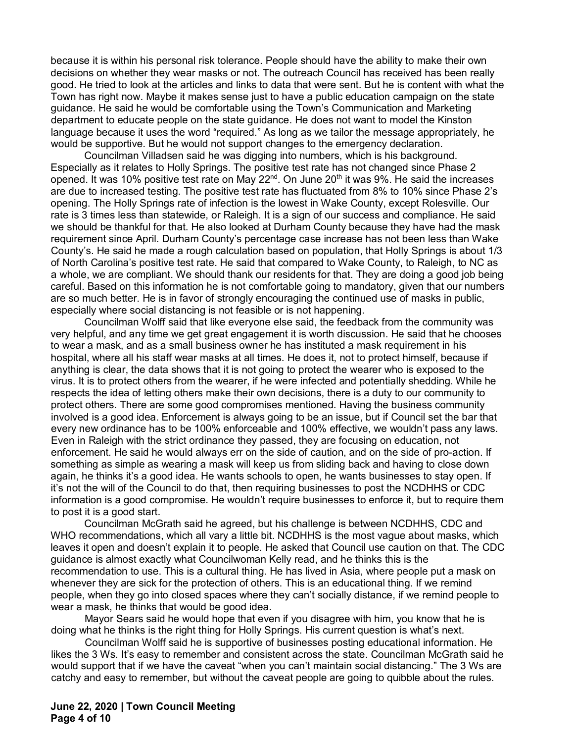because it is within his personal risk tolerance. People should have the ability to make their own decisions on whether they wear masks or not. The outreach Council has received has been really good. He tried to look at the articles and links to data that were sent. But he is content with what the Town has right now. Maybe it makes sense just to have a public education campaign on the state guidance. He said he would be comfortable using the Town's Communication and Marketing department to educate people on the state guidance. He does not want to model the Kinston language because it uses the word "required." As long as we tailor the message appropriately, he would be supportive. But he would not support changes to the emergency declaration.

Councilman Villadsen said he was digging into numbers, which is his background. Especially as it relates to Holly Springs. The positive test rate has not changed since Phase 2 opened. It was 10% positive test rate on May 22<sup>nd</sup>. On June 20<sup>th</sup> it was 9%. He said the increases are due to increased testing. The positive test rate has fluctuated from 8% to 10% since Phase 2's opening. The Holly Springs rate of infection is the lowest in Wake County, except Rolesville. Our rate is 3 times less than statewide, or Raleigh. It is a sign of our success and compliance. He said we should be thankful for that. He also looked at Durham County because they have had the mask requirement since April. Durham County's percentage case increase has not been less than Wake County's. He said he made a rough calculation based on population, that Holly Springs is about 1/3 of North Carolina's positive test rate. He said that compared to Wake County, to Raleigh, to NC as a whole, we are compliant. We should thank our residents for that. They are doing a good job being careful. Based on this information he is not comfortable going to mandatory, given that our numbers are so much better. He is in favor of strongly encouraging the continued use of masks in public, especially where social distancing is not feasible or is not happening.

Councilman Wolff said that like everyone else said, the feedback from the community was very helpful, and any time we get great engagement it is worth discussion. He said that he chooses to wear a mask, and as a small business owner he has instituted a mask requirement in his hospital, where all his staff wear masks at all times. He does it, not to protect himself, because if anything is clear, the data shows that it is not going to protect the wearer who is exposed to the virus. It is to protect others from the wearer, if he were infected and potentially shedding. While he respects the idea of letting others make their own decisions, there is a duty to our community to protect others. There are some good compromises mentioned. Having the business community involved is a good idea. Enforcement is always going to be an issue, but if Council set the bar that every new ordinance has to be 100% enforceable and 100% effective, we wouldn't pass any laws. Even in Raleigh with the strict ordinance they passed, they are focusing on education, not enforcement. He said he would always err on the side of caution, and on the side of pro-action. If something as simple as wearing a mask will keep us from sliding back and having to close down again, he thinks it's a good idea. He wants schools to open, he wants businesses to stay open. If it's not the will of the Council to do that, then requiring businesses to post the NCDHHS or CDC information is a good compromise. He wouldn't require businesses to enforce it, but to require them to post it is a good start.

Councilman McGrath said he agreed, but his challenge is between NCDHHS, CDC and WHO recommendations, which all vary a little bit. NCDHHS is the most vague about masks, which leaves it open and doesn't explain it to people. He asked that Council use caution on that. The CDC guidance is almost exactly what Councilwoman Kelly read, and he thinks this is the recommendation to use. This is a cultural thing. He has lived in Asia, where people put a mask on whenever they are sick for the protection of others. This is an educational thing. If we remind people, when they go into closed spaces where they can't socially distance, if we remind people to wear a mask, he thinks that would be good idea.

Mayor Sears said he would hope that even if you disagree with him, you know that he is doing what he thinks is the right thing for Holly Springs. His current question is what's next.

Councilman Wolff said he is supportive of businesses posting educational information. He likes the 3 Ws. It's easy to remember and consistent across the state. Councilman McGrath said he would support that if we have the caveat "when you can't maintain social distancing." The 3 Ws are catchy and easy to remember, but without the caveat people are going to quibble about the rules.

**June 22, 2020 | Town Council Meeting Page 4 of 10**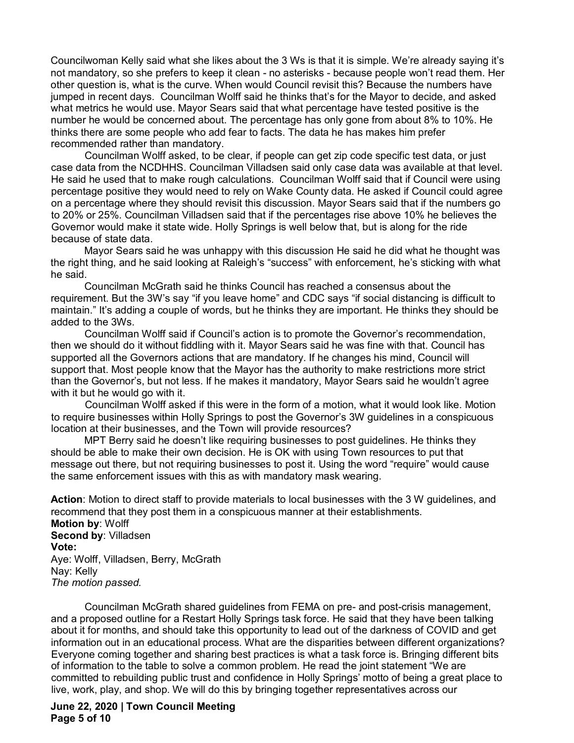Councilwoman Kelly said what she likes about the 3 Ws is that it is simple. We're already saying it's not mandatory, so she prefers to keep it clean - no asterisks - because people won't read them. Her other question is, what is the curve. When would Council revisit this? Because the numbers have jumped in recent days. Councilman Wolff said he thinks that's for the Mayor to decide, and asked what metrics he would use. Mayor Sears said that what percentage have tested positive is the number he would be concerned about. The percentage has only gone from about 8% to 10%. He thinks there are some people who add fear to facts. The data he has makes him prefer recommended rather than mandatory.

Councilman Wolff asked, to be clear, if people can get zip code specific test data, or just case data from the NCDHHS. Councilman Villadsen said only case data was available at that level. He said he used that to make rough calculations. Councilman Wolff said that if Council were using percentage positive they would need to rely on Wake County data. He asked if Council could agree on a percentage where they should revisit this discussion. Mayor Sears said that if the numbers go to 20% or 25%. Councilman Villadsen said that if the percentages rise above 10% he believes the Governor would make it state wide. Holly Springs is well below that, but is along for the ride because of state data.

Mayor Sears said he was unhappy with this discussion He said he did what he thought was the right thing, and he said looking at Raleigh's "success" with enforcement, he's sticking with what he said.

Councilman McGrath said he thinks Council has reached a consensus about the requirement. But the 3W's say "if you leave home" and CDC says "if social distancing is difficult to maintain." It's adding a couple of words, but he thinks they are important. He thinks they should be added to the 3Ws.

Councilman Wolff said if Council's action is to promote the Governor's recommendation, then we should do it without fiddling with it. Mayor Sears said he was fine with that. Council has supported all the Governors actions that are mandatory. If he changes his mind, Council will support that. Most people know that the Mayor has the authority to make restrictions more strict than the Governor's, but not less. If he makes it mandatory, Mayor Sears said he wouldn't agree with it but he would go with it.

Councilman Wolff asked if this were in the form of a motion, what it would look like. Motion to require businesses within Holly Springs to post the Governor's 3W guidelines in a conspicuous location at their businesses, and the Town will provide resources?

MPT Berry said he doesn't like requiring businesses to post guidelines. He thinks they should be able to make their own decision. He is OK with using Town resources to put that message out there, but not requiring businesses to post it. Using the word "require" would cause the same enforcement issues with this as with mandatory mask wearing.

**Action**: Motion to direct staff to provide materials to local businesses with the 3 W guidelines, and recommend that they post them in a conspicuous manner at their establishments. **Motion by**: Wolff **Second by**: Villadsen **Vote:** Aye: Wolff, Villadsen, Berry, McGrath Nay: Kelly *The motion passed.*

Councilman McGrath shared guidelines from FEMA on pre- and post-crisis management, and a proposed outline for a Restart Holly Springs task force. He said that they have been talking about it for months, and should take this opportunity to lead out of the darkness of COVID and get information out in an educational process. What are the disparities between different organizations? Everyone coming together and sharing best practices is what a task force is. Bringing different bits of information to the table to solve a common problem. He read the joint statement "We are committed to rebuilding public trust and confidence in Holly Springs' motto of being a great place to live, work, play, and shop. We will do this by bringing together representatives across our

**June 22, 2020 | Town Council Meeting Page 5 of 10**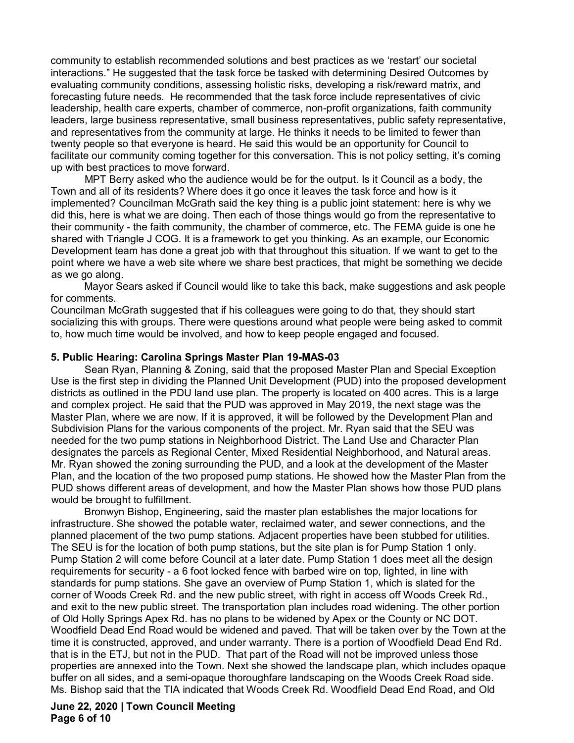community to establish recommended solutions and best practices as we 'restart' our societal interactions." He suggested that the task force be tasked with determining Desired Outcomes by evaluating community conditions, assessing holistic risks, developing a risk/reward matrix, and forecasting future needs. He recommended that the task force include representatives of civic leadership, health care experts, chamber of commerce, non-profit organizations, faith community leaders, large business representative, small business representatives, public safety representative, and representatives from the community at large. He thinks it needs to be limited to fewer than twenty people so that everyone is heard. He said this would be an opportunity for Council to facilitate our community coming together for this conversation. This is not policy setting, it's coming up with best practices to move forward.

MPT Berry asked who the audience would be for the output. Is it Council as a body, the Town and all of its residents? Where does it go once it leaves the task force and how is it implemented? Councilman McGrath said the key thing is a public joint statement: here is why we did this, here is what we are doing. Then each of those things would go from the representative to their community - the faith community, the chamber of commerce, etc. The FEMA guide is one he shared with Triangle J COG. It is a framework to get you thinking. As an example, our Economic Development team has done a great job with that throughout this situation. If we want to get to the point where we have a web site where we share best practices, that might be something we decide as we go along.

Mayor Sears asked if Council would like to take this back, make suggestions and ask people for comments.

Councilman McGrath suggested that if his colleagues were going to do that, they should start socializing this with groups. There were questions around what people were being asked to commit to, how much time would be involved, and how to keep people engaged and focused.

#### **5. Public Hearing: Carolina Springs Master Plan 19-MAS-03**

Sean Ryan, Planning & Zoning, said that the proposed Master Plan and Special Exception Use is the first step in dividing the Planned Unit Development (PUD) into the proposed development districts as outlined in the PDU land use plan. The property is located on 400 acres. This is a large and complex project. He said that the PUD was approved in May 2019, the next stage was the Master Plan, where we are now. If it is approved, it will be followed by the Development Plan and Subdivision Plans for the various components of the project. Mr. Ryan said that the SEU was needed for the two pump stations in Neighborhood District. The Land Use and Character Plan designates the parcels as Regional Center, Mixed Residential Neighborhood, and Natural areas. Mr. Ryan showed the zoning surrounding the PUD, and a look at the development of the Master Plan, and the location of the two proposed pump stations. He showed how the Master Plan from the PUD shows different areas of development, and how the Master Plan shows how those PUD plans would be brought to fulfillment.

Bronwyn Bishop, Engineering, said the master plan establishes the major locations for infrastructure. She showed the potable water, reclaimed water, and sewer connections, and the planned placement of the two pump stations. Adjacent properties have been stubbed for utilities. The SEU is for the location of both pump stations, but the site plan is for Pump Station 1 only. Pump Station 2 will come before Council at a later date. Pump Station 1 does meet all the design requirements for security - a 6 foot locked fence with barbed wire on top, lighted, in line with standards for pump stations. She gave an overview of Pump Station 1, which is slated for the corner of Woods Creek Rd. and the new public street, with right in access off Woods Creek Rd., and exit to the new public street. The transportation plan includes road widening. The other portion of Old Holly Springs Apex Rd. has no plans to be widened by Apex or the County or NC DOT. Woodfield Dead End Road would be widened and paved. That will be taken over by the Town at the time it is constructed, approved, and under warranty. There is a portion of Woodfield Dead End Rd. that is in the ETJ, but not in the PUD. That part of the Road will not be improved unless those properties are annexed into the Town. Next she showed the landscape plan, which includes opaque buffer on all sides, and a semi-opaque thoroughfare landscaping on the Woods Creek Road side. Ms. Bishop said that the TIA indicated that Woods Creek Rd. Woodfield Dead End Road, and Old

**June 22, 2020 | Town Council Meeting Page 6 of 10**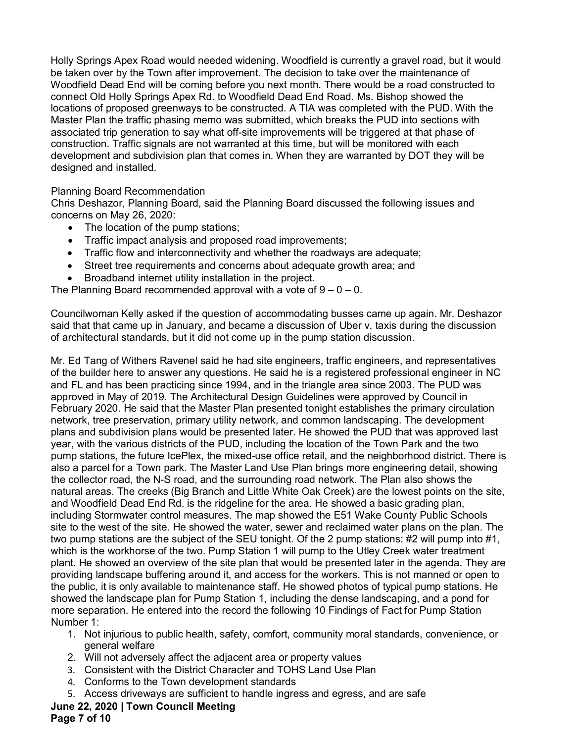Holly Springs Apex Road would needed widening. Woodfield is currently a gravel road, but it would be taken over by the Town after improvement. The decision to take over the maintenance of Woodfield Dead End will be coming before you next month. There would be a road constructed to connect Old Holly Springs Apex Rd. to Woodfield Dead End Road. Ms. Bishop showed the locations of proposed greenways to be constructed. A TIA was completed with the PUD. With the Master Plan the traffic phasing memo was submitted, which breaks the PUD into sections with associated trip generation to say what off-site improvements will be triggered at that phase of construction. Traffic signals are not warranted at this time, but will be monitored with each development and subdivision plan that comes in. When they are warranted by DOT they will be designed and installed.

Planning Board Recommendation

Chris Deshazor, Planning Board, said the Planning Board discussed the following issues and concerns on May 26, 2020:

- The location of the pump stations;
- Traffic impact analysis and proposed road improvements;
- Traffic flow and interconnectivity and whether the roadways are adequate;
- Street tree requirements and concerns about adequate growth area; and
- Broadband internet utility installation in the project.

The Planning Board recommended approval with a vote of  $9 - 0 - 0$ .

Councilwoman Kelly asked if the question of accommodating busses came up again. Mr. Deshazor said that that came up in January, and became a discussion of Uber v. taxis during the discussion of architectural standards, but it did not come up in the pump station discussion.

Mr. Ed Tang of Withers Ravenel said he had site engineers, traffic engineers, and representatives of the builder here to answer any questions. He said he is a registered professional engineer in NC and FL and has been practicing since 1994, and in the triangle area since 2003. The PUD was approved in May of 2019. The Architectural Design Guidelines were approved by Council in February 2020. He said that the Master Plan presented tonight establishes the primary circulation network, tree preservation, primary utility network, and common landscaping. The development plans and subdivision plans would be presented later. He showed the PUD that was approved last year, with the various districts of the PUD, including the location of the Town Park and the two pump stations, the future IcePlex, the mixed-use office retail, and the neighborhood district. There is also a parcel for a Town park. The Master Land Use Plan brings more engineering detail, showing the collector road, the N-S road, and the surrounding road network. The Plan also shows the natural areas. The creeks (Big Branch and Little White Oak Creek) are the lowest points on the site, and Woodfield Dead End Rd. is the ridgeline for the area. He showed a basic grading plan, including Stormwater control measures. The map showed the E51 Wake County Public Schools site to the west of the site. He showed the water, sewer and reclaimed water plans on the plan. The two pump stations are the subject of the SEU tonight. Of the 2 pump stations: #2 will pump into #1, which is the workhorse of the two. Pump Station 1 will pump to the Utley Creek water treatment plant. He showed an overview of the site plan that would be presented later in the agenda. They are providing landscape buffering around it, and access for the workers. This is not manned or open to the public, it is only available to maintenance staff. He showed photos of typical pump stations. He showed the landscape plan for Pump Station 1, including the dense landscaping, and a pond for more separation. He entered into the record the following 10 Findings of Fact for Pump Station Number 1:

- 1. Not injurious to public health, safety, comfort, community moral standards, convenience, or general welfare
- 2. Will not adversely affect the adjacent area or property values
- 3. Consistent with the District Character and TOHS Land Use Plan
- 4. Conforms to the Town development standards
- 5. Access driveways are sufficient to handle ingress and egress, and are safe

# **June 22, 2020 | Town Council Meeting**

**Page 7 of 10**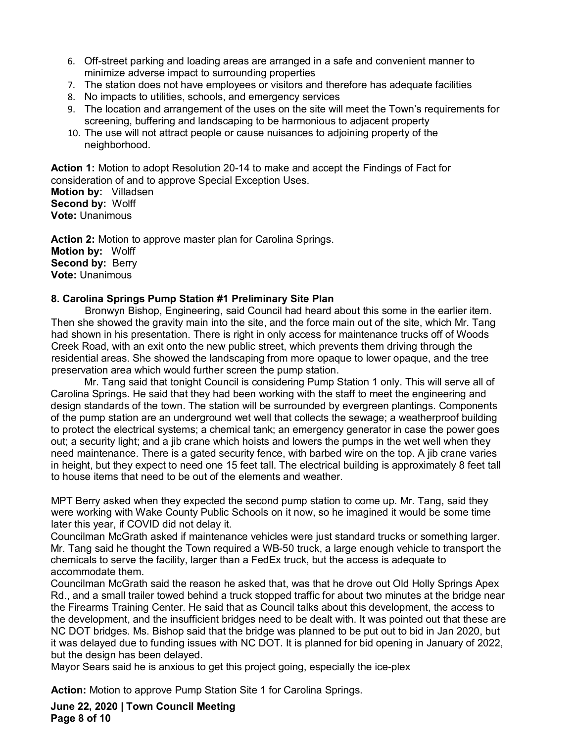- 6. Off-street parking and loading areas are arranged in a safe and convenient manner to minimize adverse impact to surrounding properties
- 7. The station does not have employees or visitors and therefore has adequate facilities
- 8. No impacts to utilities, schools, and emergency services
- 9. The location and arrangement of the uses on the site will meet the Town's requirements for screening, buffering and landscaping to be harmonious to adjacent property
- 10. The use will not attract people or cause nuisances to adjoining property of the neighborhood.

**Action 1:** Motion to adopt Resolution 20-14 to make and accept the Findings of Fact for consideration of and to approve Special Exception Uses.

**Motion by:** Villadsen **Second by:** Wolff **Vote:** Unanimous

**Action 2:** Motion to approve master plan for Carolina Springs. **Motion by:** Wolff **Second by:** Berry **Vote:** Unanimous

#### **8. Carolina Springs Pump Station #1 Preliminary Site Plan**

Bronwyn Bishop, Engineering, said Council had heard about this some in the earlier item. Then she showed the gravity main into the site, and the force main out of the site, which Mr. Tang had shown in his presentation. There is right in only access for maintenance trucks off of Woods Creek Road, with an exit onto the new public street, which prevents them driving through the residential areas. She showed the landscaping from more opaque to lower opaque, and the tree preservation area which would further screen the pump station.

Mr. Tang said that tonight Council is considering Pump Station 1 only. This will serve all of Carolina Springs. He said that they had been working with the staff to meet the engineering and design standards of the town. The station will be surrounded by evergreen plantings. Components of the pump station are an underground wet well that collects the sewage; a weatherproof building to protect the electrical systems; a chemical tank; an emergency generator in case the power goes out; a security light; and a jib crane which hoists and lowers the pumps in the wet well when they need maintenance. There is a gated security fence, with barbed wire on the top. A jib crane varies in height, but they expect to need one 15 feet tall. The electrical building is approximately 8 feet tall to house items that need to be out of the elements and weather.

MPT Berry asked when they expected the second pump station to come up. Mr. Tang, said they were working with Wake County Public Schools on it now, so he imagined it would be some time later this year, if COVID did not delay it.

Councilman McGrath asked if maintenance vehicles were just standard trucks or something larger. Mr. Tang said he thought the Town required a WB-50 truck, a large enough vehicle to transport the chemicals to serve the facility, larger than a FedEx truck, but the access is adequate to accommodate them.

Councilman McGrath said the reason he asked that, was that he drove out Old Holly Springs Apex Rd., and a small trailer towed behind a truck stopped traffic for about two minutes at the bridge near the Firearms Training Center. He said that as Council talks about this development, the access to the development, and the insufficient bridges need to be dealt with. It was pointed out that these are NC DOT bridges. Ms. Bishop said that the bridge was planned to be put out to bid in Jan 2020, but it was delayed due to funding issues with NC DOT. It is planned for bid opening in January of 2022, but the design has been delayed.

Mayor Sears said he is anxious to get this project going, especially the ice-plex

**Action:** Motion to approve Pump Station Site 1 for Carolina Springs.

**June 22, 2020 | Town Council Meeting Page 8 of 10**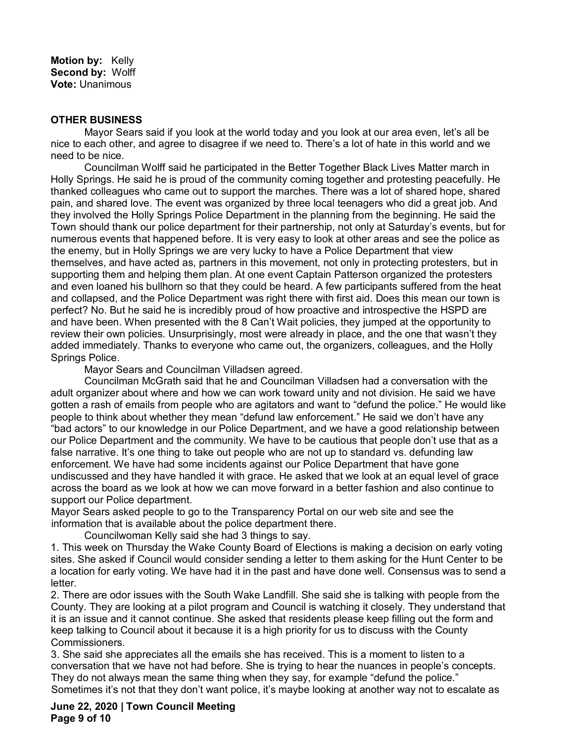**Motion by:** Kelly **Second by:** Wolff **Vote:** Unanimous

#### **OTHER BUSINESS**

Mayor Sears said if you look at the world today and you look at our area even, let's all be nice to each other, and agree to disagree if we need to. There's a lot of hate in this world and we need to be nice.

Councilman Wolff said he participated in the Better Together Black Lives Matter march in Holly Springs. He said he is proud of the community coming together and protesting peacefully. He thanked colleagues who came out to support the marches. There was a lot of shared hope, shared pain, and shared love. The event was organized by three local teenagers who did a great job. And they involved the Holly Springs Police Department in the planning from the beginning. He said the Town should thank our police department for their partnership, not only at Saturday's events, but for numerous events that happened before. It is very easy to look at other areas and see the police as the enemy, but in Holly Springs we are very lucky to have a Police Department that view themselves, and have acted as, partners in this movement, not only in protecting protesters, but in supporting them and helping them plan. At one event Captain Patterson organized the protesters and even loaned his bullhorn so that they could be heard. A few participants suffered from the heat and collapsed, and the Police Department was right there with first aid. Does this mean our town is perfect? No. But he said he is incredibly proud of how proactive and introspective the HSPD are and have been. When presented with the 8 Can't Wait policies, they jumped at the opportunity to review their own policies. Unsurprisingly, most were already in place, and the one that wasn't they added immediately. Thanks to everyone who came out, the organizers, colleagues, and the Holly Springs Police.

Mayor Sears and Councilman Villadsen agreed.

Councilman McGrath said that he and Councilman Villadsen had a conversation with the adult organizer about where and how we can work toward unity and not division. He said we have gotten a rash of emails from people who are agitators and want to "defund the police." He would like people to think about whether they mean "defund law enforcement." He said we don't have any "bad actors" to our knowledge in our Police Department, and we have a good relationship between our Police Department and the community. We have to be cautious that people don't use that as a false narrative. It's one thing to take out people who are not up to standard vs. defunding law enforcement. We have had some incidents against our Police Department that have gone undiscussed and they have handled it with grace. He asked that we look at an equal level of grace across the board as we look at how we can move forward in a better fashion and also continue to support our Police department.

Mayor Sears asked people to go to the Transparency Portal on our web site and see the information that is available about the police department there.

Councilwoman Kelly said she had 3 things to say.

1. This week on Thursday the Wake County Board of Elections is making a decision on early voting sites. She asked if Council would consider sending a letter to them asking for the Hunt Center to be a location for early voting. We have had it in the past and have done well. Consensus was to send a letter.

2. There are odor issues with the South Wake Landfill. She said she is talking with people from the County. They are looking at a pilot program and Council is watching it closely. They understand that it is an issue and it cannot continue. She asked that residents please keep filling out the form and keep talking to Council about it because it is a high priority for us to discuss with the County Commissioners.

3. She said she appreciates all the emails she has received. This is a moment to listen to a conversation that we have not had before. She is trying to hear the nuances in people's concepts. They do not always mean the same thing when they say, for example "defund the police." Sometimes it's not that they don't want police, it's maybe looking at another way not to escalate as

**June 22, 2020 | Town Council Meeting Page 9 of 10**